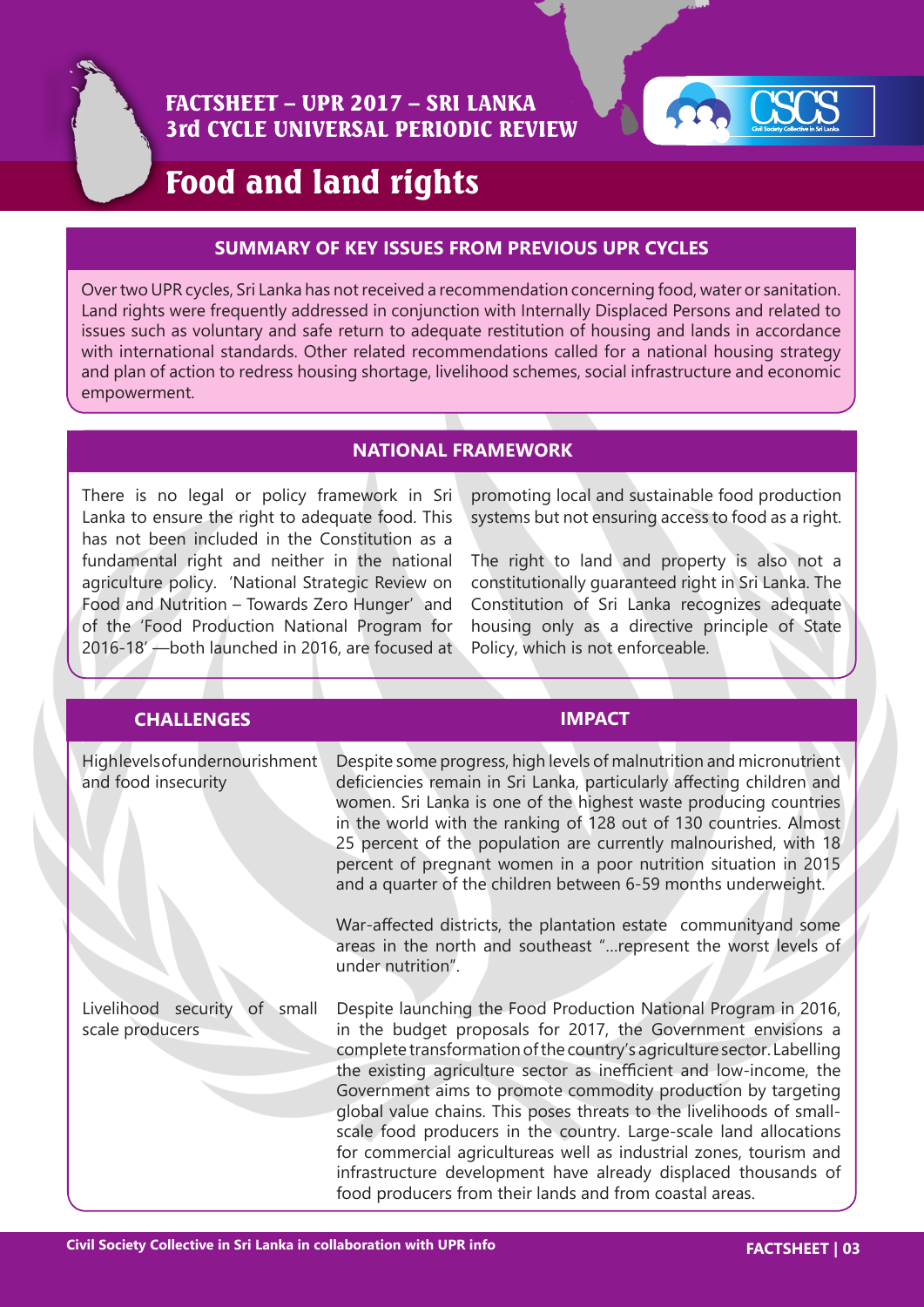

# FACTSHEET – UPR 2017 – SRI LANKA 3rd CYCLE UNIVERSAL PERIODIC REVIEW



# Food and land rights

#### **SUMMARY OF KEY ISSUES FROM PREVIOUS UPR CYCLES**

Over two UPR cycles, Sri Lanka has not received a recommendation concerning food, water or sanitation. Land rights were frequently addressed in conjunction with Internally Displaced Persons and related to issues such as voluntary and safe return to adequate restitution of housing and lands in accordance with international standards. Other related recommendations called for a national housing strategy and plan of action to redress housing shortage, livelihood schemes, social infrastructure and economic empowerment.

#### **NATIONAL FRAMEWORK**

There is no legal or policy framework in Sri Lanka to ensure the right to adequate food. This has not been included in the Constitution as a fundamental right and neither in the national agriculture policy. 'National Strategic Review on Food and Nutrition – Towards Zero Hunger' and of the 'Food Production National Program for 2016-18' —both launched in 2016, are focused at

promoting local and sustainable food production systems but not ensuring access to food as a right.

The right to land and property is also not a constitutionally guaranteed right in Sri Lanka. The Constitution of Sri Lanka recognizes adequate housing only as a directive principle of State Policy, which is not enforceable.

| <b>CHALLENGES</b>                                     | <b>IMPACT</b>                                                                                                                                                                                                                                                                                                                                                                                                                                                                                                                                                                                                                                                                                   |
|-------------------------------------------------------|-------------------------------------------------------------------------------------------------------------------------------------------------------------------------------------------------------------------------------------------------------------------------------------------------------------------------------------------------------------------------------------------------------------------------------------------------------------------------------------------------------------------------------------------------------------------------------------------------------------------------------------------------------------------------------------------------|
| Highlevels of undernourishment<br>and food insecurity | Despite some progress, high levels of malnutrition and micronutrient<br>deficiencies remain in Sri Lanka, particularly affecting children and<br>women. Sri Lanka is one of the highest waste producing countries<br>in the world with the ranking of 128 out of 130 countries. Almost<br>25 percent of the population are currently malnourished, with 18<br>percent of pregnant women in a poor nutrition situation in 2015<br>and a quarter of the children between 6-59 months underweight.<br>War-affected districts, the plantation estate communityand some                                                                                                                              |
|                                                       | areas in the north and southeast " represent the worst levels of<br>under nutrition".                                                                                                                                                                                                                                                                                                                                                                                                                                                                                                                                                                                                           |
| Livelihood security of small<br>scale producers       | Despite launching the Food Production National Program in 2016,<br>in the budget proposals for 2017, the Government envisions a<br>complete transformation of the country's agriculture sector. Labelling<br>the existing agriculture sector as inefficient and low-income, the<br>Government aims to promote commodity production by targeting<br>global value chains. This poses threats to the livelihoods of small-<br>scale food producers in the country. Large-scale land allocations<br>for commercial agricultureas well as industrial zones, tourism and<br>infrastructure development have already displaced thousands of<br>food producers from their lands and from coastal areas. |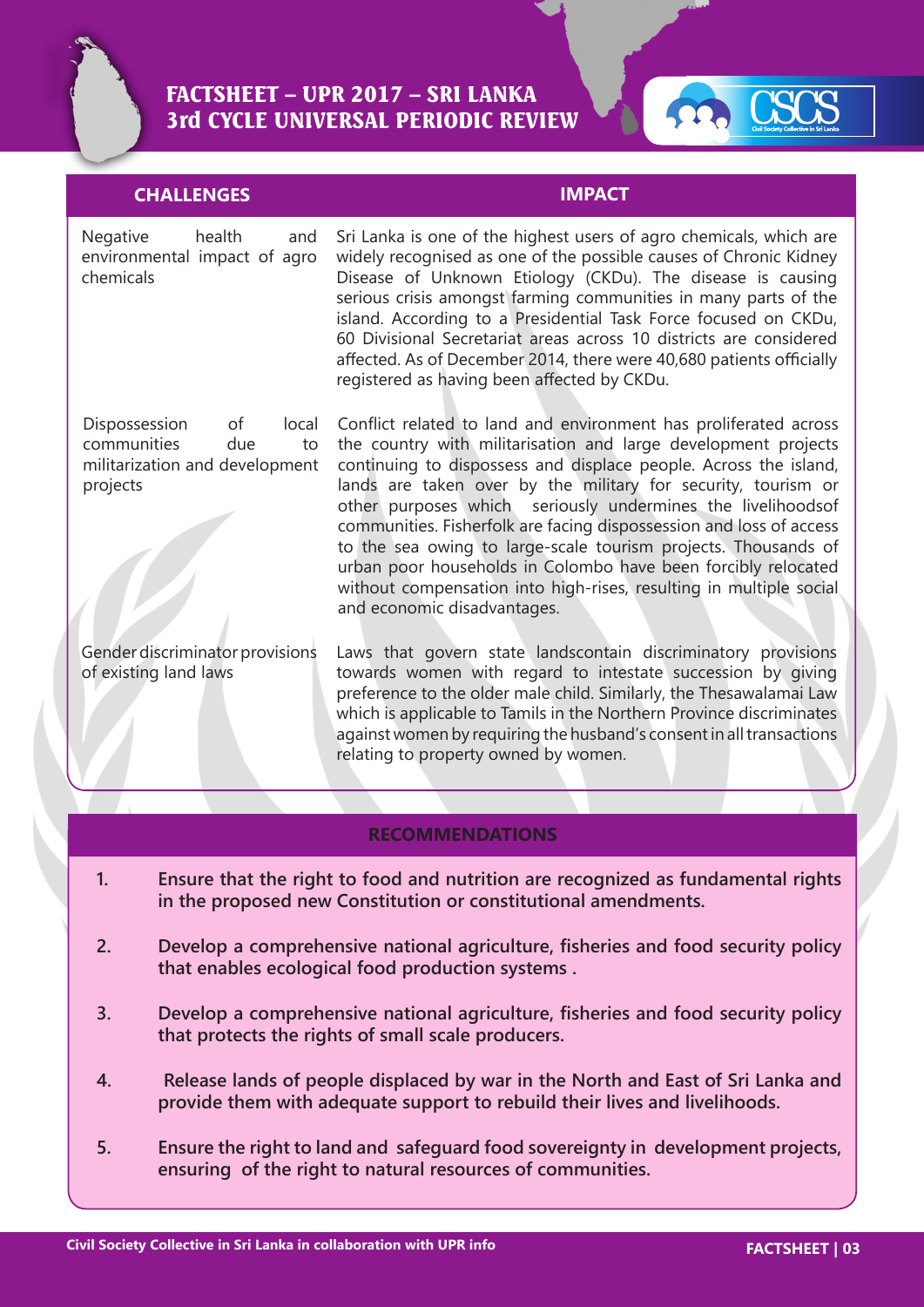



### **CHALLENGES IMPACT**

Negative health and environmental impact of agro chemicals

Dispossession of local communities due to militarization and development projects

Gender discriminator provisions of existing land laws

Sri Lanka is one of the highest users of agro chemicals, which are widely recognised as one of the possible causes of Chronic Kidney Disease of Unknown Etiology (CKDu). The disease is causing serious crisis amongst farming communities in many parts of the island. According to a Presidential Task Force focused on CKDu, 60 Divisional Secretariat areas across 10 districts are considered affected. As of December 2014, there were 40,680 patients officially registered as having been affected by CKDu.

Conflict related to land and environment has proliferated across the country with militarisation and large development projects continuing to dispossess and displace people. Across the island, lands are taken over by the military for security, tourism or other purposes which seriously undermines the livelihoodsof communities. Fisherfolk are facing dispossession and loss of access to the sea owing to large-scale tourism projects. Thousands of urban poor households in Colombo have been forcibly relocated without compensation into high-rises, resulting in multiple social and economic disadvantages.

Laws that govern state landscontain discriminatory provisions towards women with regard to intestate succession by giving preference to the older male child. Similarly, the Thesawalamai Law which is applicable to Tamils in the Northern Province discriminates against women by requiring the husband's consent in all transactions relating to property owned by women.

#### **RECOMMENDATIONS**

- **1. Ensure that the right to food and nutrition are recognized as fundamental rights in the proposed new Constitution or constitutional amendments.**
- **2. Develop a comprehensive national agriculture, fisheries and food security policy that enables ecological food production systems .**
- **3. Develop a comprehensive national agriculture, fisheries and food security policy that protects the rights of small scale producers.**
- **4. Release lands of people displaced by war in the North and East of Sri Lanka and provide them with adequate support to rebuild their lives and livelihoods.**
- **5. Ensure the right to land and safeguard food sovereignty in development projects, ensuring of the right to natural resources of communities.**